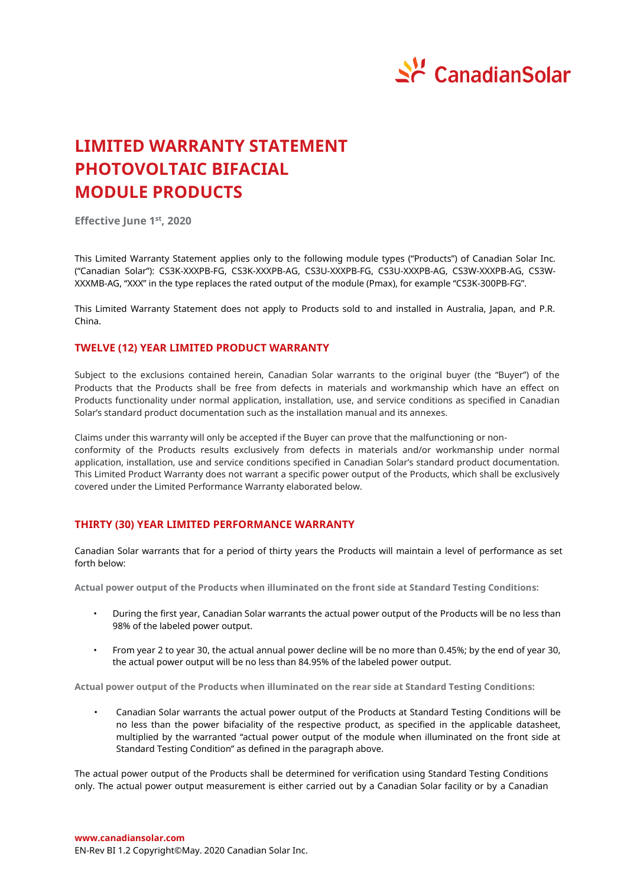

# **LIMITED WARRANTY STATEMENT PHOTOVOLTAIC BIFACIAL MODULE PRODUCTS**

**Effective June 1 st , 2020**

This Limited Warranty Statement applies only to the following module types ("Products") of Canadian Solar Inc. ("Canadian Solar"): CS3K-XXXPB-FG, CS3K-XXXPB-AG, CS3U-XXXPB-FG, CS3U-XXXPB-AG, CS3W-XXXPB-AG, CS3W-XXXMB-AG, "XXX" in the type replaces the rated output of the module (Pmax), for example "CS3K-300PB-FG".

This Limited Warranty Statement does not apply to Products sold to and installed in Australia, Japan, and P.R. China.

## **TWELVE (12) YEAR LIMITED PRODUCT WARRANTY**

Subject to the exclusions contained herein, Canadian Solar warrants to the original buyer (the "Buyer") of the Products that the Products shall be free from defects in materials and workmanship which have an effect on Products functionality under normal application, installation, use, and service conditions as specified in Canadian Solar's standard product documentation such as the installation manual and its annexes.

Claims under this warranty will only be accepted if the Buyer can prove that the malfunctioning or nonconformity of the Products results exclusively from defects in materials and/or workmanship under normal application, installation, use and service conditions specified in Canadian Solar's standard product documentation. This Limited Product Warranty does not warrant a specific power output of the Products, which shall be exclusively covered under the Limited Performance Warranty elaborated below.

## **THIRTY (30) YEAR LIMITED PERFORMANCE WARRANTY**

Canadian Solar warrants that for a period of thirty years the Products will maintain a level of performance as set forth below:

**Actual power output of the Products when illuminated on the front side at Standard Testing Conditions:**

- During the first year, Canadian Solar warrants the actual power output of the Products will be no less than 98% of the labeled power output.
- From year 2 to year 30, the actual annual power decline will be no more than 0.45%; by the end of year 30, the actual power output will be no less than 84.95% of the labeled power output.

**Actual power output of the Products when illuminated on the rear side at Standard Testing Conditions:**

• Canadian Solar warrants the actual power output of the Products at Standard Testing Conditions will be no less than the power bifaciality of the respective product, as specified in the applicable datasheet, multiplied by the warranted "actual power output of the module when illuminated on the front side at Standard Testing Condition" as defined in the paragraph above.

The actual power output of the Products shall be determined for verification using Standard Testing Conditions only. The actual power output measurement is either carried out by a Canadian Solar facility or by a Canadian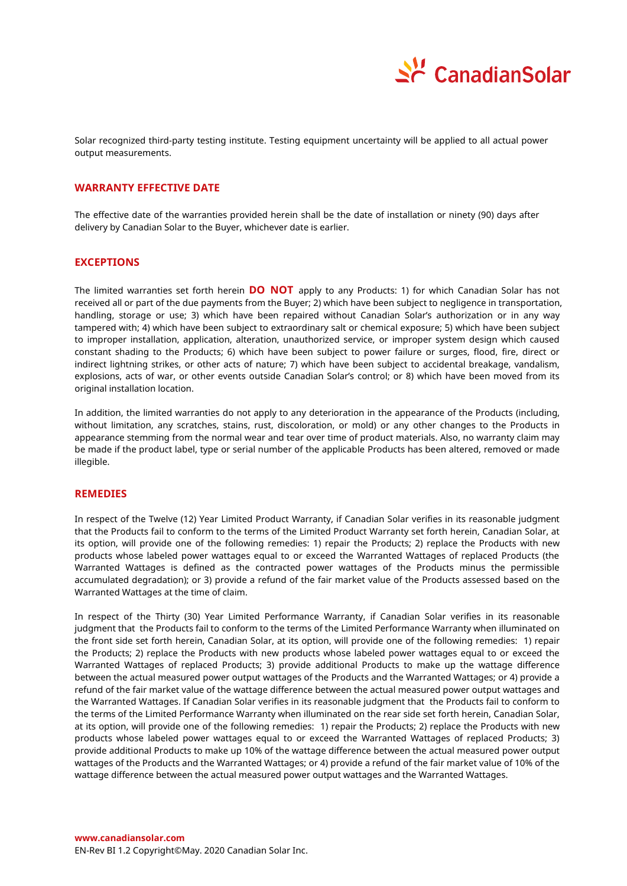

Solar recognized third-party testing institute. Testing equipment uncertainty will be applied to all actual power output measurements.

## **WARRANTY EFFECTIVE DATE**

The effective date of the warranties provided herein shall be the date of installation or ninety (90) days after delivery by Canadian Solar to the Buyer, whichever date is earlier.

## **EXCEPTIONS**

The limited warranties set forth herein **DO NOT** apply to any Products: 1) for which Canadian Solar has not received all or part of the due payments from the Buyer; 2) which have been subject to negligence in transportation, handling, storage or use; 3) which have been repaired without Canadian Solar's authorization or in any way tampered with; 4) which have been subject to extraordinary salt or chemical exposure; 5) which have been subject to improper installation, application, alteration, unauthorized service, or improper system design which caused constant shading to the Products; 6) which have been subject to power failure or surges, flood, fire, direct or indirect lightning strikes, or other acts of nature; 7) which have been subject to accidental breakage, vandalism, explosions, acts of war, or other events outside Canadian Solar's control; or 8) which have been moved from its original installation location.

In addition, the limited warranties do not apply to any deterioration in the appearance of the Products (including, without limitation, any scratches, stains, rust, discoloration, or mold) or any other changes to the Products in appearance stemming from the normal wear and tear over time of product materials. Also, no warranty claim may be made if the product label, type or serial number of the applicable Products has been altered, removed or made illegible.

### **REMEDIES**

In respect of the Twelve (12) Year Limited Product Warranty, if Canadian Solar verifies in its reasonable judgment that the Products fail to conform to the terms of the Limited Product Warranty set forth herein, Canadian Solar, at its option, will provide one of the following remedies: 1) repair the Products; 2) replace the Products with new products whose labeled power wattages equal to or exceed the Warranted Wattages of replaced Products (the Warranted Wattages is defined as the contracted power wattages of the Products minus the permissible accumulated degradation); or 3) provide a refund of the fair market value of the Products assessed based on the Warranted Wattages at the time of claim.

In respect of the Thirty (30) Year Limited Performance Warranty, if Canadian Solar verifies in its reasonable judgment that the Products fail to conform to the terms of the Limited Performance Warranty when illuminated on the front side set forth herein, Canadian Solar, at its option, will provide one of the following remedies: 1) repair the Products; 2) replace the Products with new products whose labeled power wattages equal to or exceed the Warranted Wattages of replaced Products; 3) provide additional Products to make up the wattage difference between the actual measured power output wattages of the Products and the Warranted Wattages; or 4) provide a refund of the fair market value of the wattage difference between the actual measured power output wattages and the Warranted Wattages. If Canadian Solar verifies in its reasonable judgment that the Products fail to conform to the terms of the Limited Performance Warranty when illuminated on the rear side set forth herein, Canadian Solar, at its option, will provide one of the following remedies: 1) repair the Products; 2) replace the Products with new products whose labeled power wattages equal to or exceed the Warranted Wattages of replaced Products; 3) provide additional Products to make up 10% of the wattage difference between the actual measured power output wattages of the Products and the Warranted Wattages; or 4) provide a refund of the fair market value of 10% of the wattage difference between the actual measured power output wattages and the Warranted Wattages.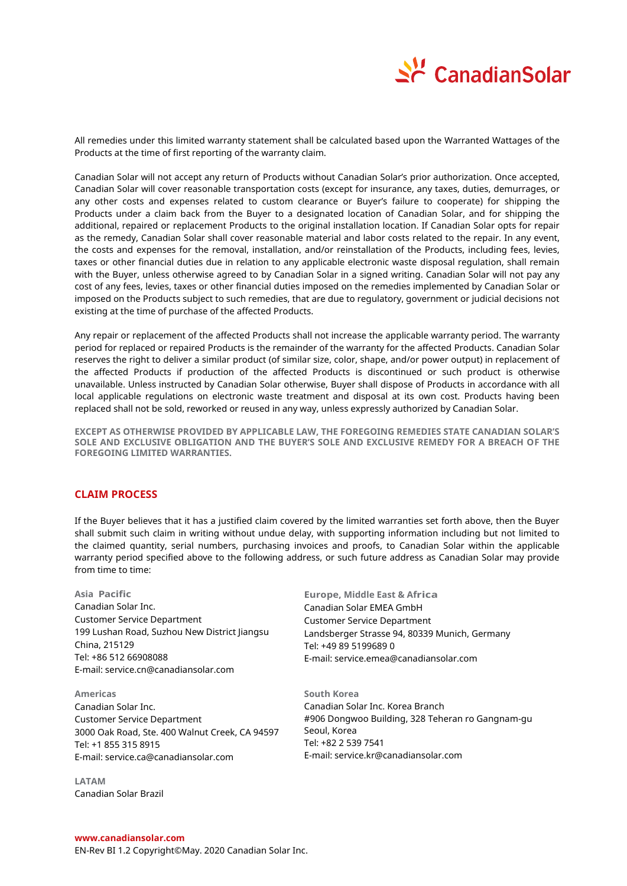

All remedies under this limited warranty statement shall be calculated based upon the Warranted Wattages of the Products at the time of first reporting of the warranty claim.

Canadian Solar will not accept any return of Products without Canadian Solar's prior authorization. Once accepted, Canadian Solar will cover reasonable transportation costs (except for insurance, any taxes, duties, demurrages, or any other costs and expenses related to custom clearance or Buyer's failure to cooperate) for shipping the Products under a claim back from the Buyer to a designated location of Canadian Solar, and for shipping the additional, repaired or replacement Products to the original installation location. If Canadian Solar opts for repair as the remedy, Canadian Solar shall cover reasonable material and labor costs related to the repair. In any event, the costs and expenses for the removal, installation, and/or reinstallation of the Products, including fees, levies, taxes or other financial duties due in relation to any applicable electronic waste disposal regulation, shall remain with the Buyer, unless otherwise agreed to by Canadian Solar in a signed writing. Canadian Solar will not pay any cost of any fees, levies, taxes or other financial duties imposed on the remedies implemented by Canadian Solar or imposed on the Products subject to such remedies, that are due to regulatory, government or judicial decisions not existing at the time of purchase of the affected Products.

Any repair or replacement of the affected Products shall not increase the applicable warranty period. The warranty period for replaced or repaired Products is the remainder of the warranty for the affected Products. Canadian Solar reserves the right to deliver a similar product (of similar size, color, shape, and/or power output) in replacement of the affected Products if production of the affected Products is discontinued or such product is otherwise unavailable. Unless instructed by Canadian Solar otherwise, Buyer shall dispose of Products in accordance with all local applicable regulations on electronic waste treatment and disposal at its own cost. Products having been replaced shall not be sold, reworked or reused in any way, unless expressly authorized by Canadian Solar.

**EXCEPT AS OTHERWISE PROVIDED BY APPLICABLE LAW, THE FOREGOING REMEDIES STATE CANADIAN SOLAR'S SOLE AND EXCLUSIVE OBLIGATION AND THE BUYER'S SOLE AND EXCLUSIVE REMEDY FOR A BREACH OF THE FOREGOING LIMITED WARRANTIES.**

## **CLAIM PROCESS**

If the Buyer believes that it has a justified claim covered by the limited warranties set forth above, then the Buyer shall submit such claim in writing without undue delay, with supporting information including but not limited to the claimed quantity, serial numbers, purchasing invoices and proofs, to Canadian Solar within the applicable warranty period specified above to the following address, or such future address as Canadian Solar may provide from time to time:

**Asia Pacific** Canadian Solar Inc. Customer Service Department 199 Lushan Road, Suzhou New District liangsu China, 215129 Tel: +86 512 66908088 E-mail: service.cn@canadiansolar.com

**Americas** Canadian Solar Inc. Customer Service Department 3000 Oak Road, Ste. 400 Walnut Creek, CA 94597 Tel: +1 855 315 8915 E-mail: service.ca@canadiansolar.com

**LATAM**  Canadian Solar Brazil

**Europe, Middle East & Africa**  Canadian Solar EMEA GmbH Customer Service Department Landsberger Strasse 94, 80339 Munich, Germany Tel: +49 89 5199689 0 E-mail: service.emea@canadiansolar.com

**South Korea** Canadian Solar Inc. Korea Branch #906 Dongwoo Building, 328 Teheran ro Gangnam-gu Seoul, Korea Tel: +82 2 539 7541 E-mail: service.kr@canadiansolar.com

EN-Rev BI 1.2 Copyright© May. 2020 Canadian Solar Inc.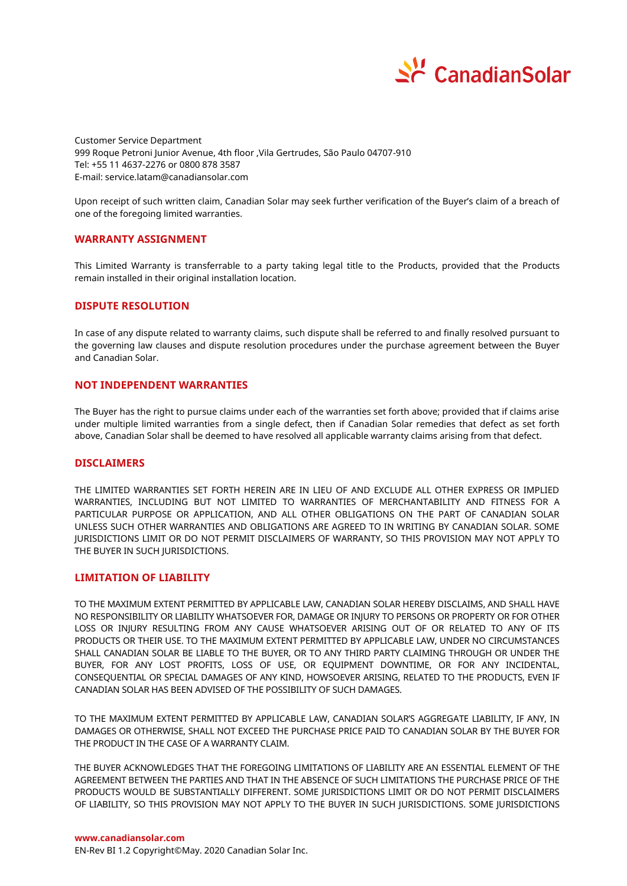

Customer Service Department 999 Roque Petroni Junior Avenue, 4th floor ,Vila Gertrudes, São Paulo 04707-910 Tel: +55 11 4637-2276 or 0800 878 3587 E-mail: service.latam@canadiansolar.com

Upon receipt of such written claim, Canadian Solar may seek further verification of the Buyer's claim of a breach of one of the foregoing limited warranties.

### **WARRANTY ASSIGNMENT**

This Limited Warranty is transferrable to a party taking legal title to the Products, provided that the Products remain installed in their original installation location.

## **DISPUTE RESOLUTION**

In case of any dispute related to warranty claims, such dispute shall be referred to and finally resolved pursuant to the governing law clauses and dispute resolution procedures under the purchase agreement between the Buyer and Canadian Solar.

### **NOT INDEPENDENT WARRANTIES**

The Buyer has the right to pursue claims under each of the warranties set forth above; provided that if claims arise under multiple limited warranties from a single defect, then if Canadian Solar remedies that defect as set forth above, Canadian Solar shall be deemed to have resolved all applicable warranty claims arising from that defect.

#### **DISCLAIMERS**

THE LIMITED WARRANTIES SET FORTH HEREIN ARE IN LIEU OF AND EXCLUDE ALL OTHER EXPRESS OR IMPLIED WARRANTIES, INCLUDING BUT NOT LIMITED TO WARRANTIES OF MERCHANTABILITY AND FITNESS FOR A PARTICULAR PURPOSE OR APPLICATION, AND ALL OTHER OBLIGATIONS ON THE PART OF CANADIAN SOLAR UNLESS SUCH OTHER WARRANTIES AND OBLIGATIONS ARE AGREED TO IN WRITING BY CANADIAN SOLAR. SOME JURISDICTIONS LIMIT OR DO NOT PERMIT DISCLAIMERS OF WARRANTY, SO THIS PROVISION MAY NOT APPLY TO THE BUYER IN SUCH IURISDICTIONS.

## **LIMITATION OF LIABILITY**

TO THE MAXIMUM EXTENT PERMITTED BY APPLICABLE LAW, CANADIAN SOLAR HEREBY DISCLAIMS, AND SHALL HAVE NO RESPONSIBILITY OR LIABILITY WHATSOEVER FOR, DAMAGE OR INJURY TO PERSONS OR PROPERTY OR FOR OTHER LOSS OR INJURY RESULTING FROM ANY CAUSE WHATSOEVER ARISING OUT OF OR RELATED TO ANY OF ITS PRODUCTS OR THEIR USE. TO THE MAXIMUM EXTENT PERMITTED BY APPLICABLE LAW, UNDER NO CIRCUMSTANCES SHALL CANADIAN SOLAR BE LIABLE TO THE BUYER, OR TO ANY THIRD PARTY CLAIMING THROUGH OR UNDER THE BUYER, FOR ANY LOST PROFITS, LOSS OF USE, OR EQUIPMENT DOWNTIME, OR FOR ANY INCIDENTAL, CONSEQUENTIAL OR SPECIAL DAMAGES OF ANY KIND, HOWSOEVER ARISING, RELATED TO THE PRODUCTS, EVEN IF CANADIAN SOLAR HAS BEEN ADVISED OF THE POSSIBILITY OF SUCH DAMAGES.

TO THE MAXIMUM EXTENT PERMITTED BY APPLICABLE LAW, CANADIAN SOLAR'S AGGREGATE LIABILITY, IF ANY, IN DAMAGES OR OTHERWISE, SHALL NOT EXCEED THE PURCHASE PRICE PAID TO CANADIAN SOLAR BY THE BUYER FOR THE PRODUCT IN THE CASE OF A WARRANTY CLAIM.

THE BUYER ACKNOWLEDGES THAT THE FOREGOING LIMITATIONS OF LIABILITY ARE AN ESSENTIAL ELEMENT OF THE AGREEMENT BETWEEN THE PARTIES AND THAT IN THE ABSENCE OF SUCH LIMITATIONS THE PURCHASE PRICE OF THE PRODUCTS WOULD BE SUBSTANTIALLY DIFFERENT. SOME JURISDICTIONS LIMIT OR DO NOT PERMIT DISCLAIMERS OF LIABILITY, SO THIS PROVISION MAY NOT APPLY TO THE BUYER IN SUCH JURISDICTIONS. SOME JURISDICTIONS